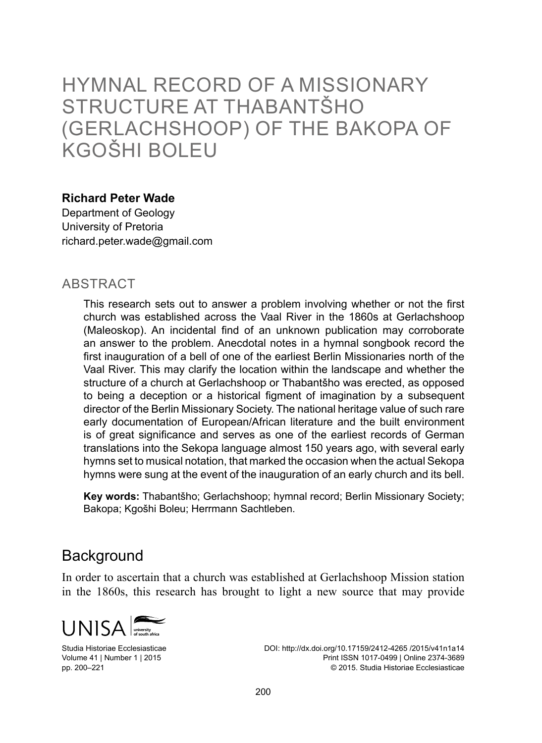# Hymnal record of a missionary structure at Thabantšho (Gerlachshoop) of the Bakopa of Kgošhi Boleu

#### **Richard Peter Wade**

Department of Geology University of Pretoria richard.peter.wade@gmail.com

#### **ABSTRACT**

This research sets out to answer a problem involving whether or not the first church was established across the Vaal River in the 1860s at Gerlachshoop (Maleoskop). An incidental find of an unknown publication may corroborate an answer to the problem. Anecdotal notes in a hymnal songbook record the first inauguration of a bell of one of the earliest Berlin Missionaries north of the Vaal River. This may clarify the location within the landscape and whether the structure of a church at Gerlachshoop or Thabantšho was erected, as opposed to being a deception or a historical figment of imagination by a subsequent director of the Berlin Missionary Society. The national heritage value of such rare early documentation of European/African literature and the built environment is of great significance and serves as one of the earliest records of German translations into the Sekopa language almost 150 years ago, with several early hymns set to musical notation, that marked the occasion when the actual Sekopa hymns were sung at the event of the inauguration of an early church and its bell.

**Key words:** Thabantšho; Gerlachshoop; hymnal record; Berlin Missionary Society; Bakopa; Kgošhi Boleu; Herrmann Sachtleben.

#### **Background**

In order to ascertain that a church was established at Gerlachshoop Mission station in the 1860s, this research has brought to light a new source that may provide



Studia Historiae Ecclesiasticae Volume 41 | Number 1 | 2015 pp. 200–221

DOI: http://dx.doi.org/10.17159/2412-4265 /2015/v41n1a14 Print ISSN 1017-0499 | Online 2374-3689 © 2015. Studia Historiae Ecclesiasticae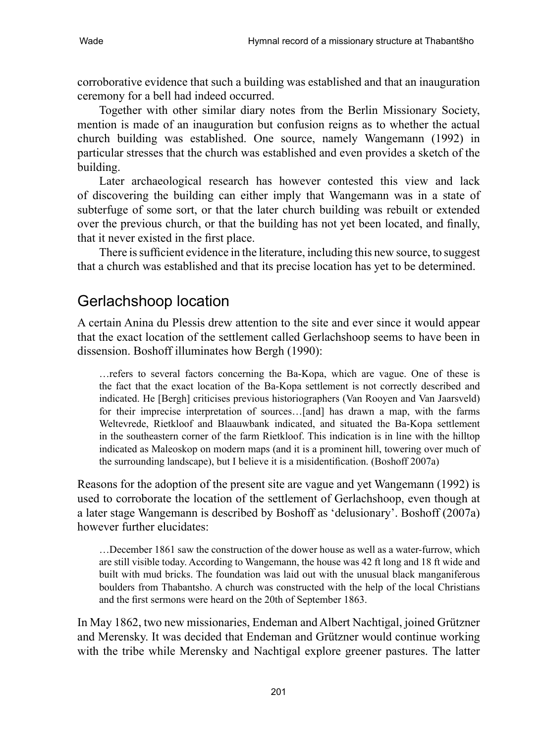corroborative evidence that such a building was established and that an inauguration ceremony for a bell had indeed occurred.

Together with other similar diary notes from the Berlin Missionary Society, mention is made of an inauguration but confusion reigns as to whether the actual church building was established. One source, namely Wangemann (1992) in particular stresses that the church was established and even provides a sketch of the building.

Later archaeological research has however contested this view and lack of discovering the building can either imply that Wangemann was in a state of subterfuge of some sort, or that the later church building was rebuilt or extended over the previous church, or that the building has not yet been located, and finally, that it never existed in the first place.

There is sufficient evidence in the literature, including this new source, to suggest that a church was established and that its precise location has yet to be determined.

### Gerlachshoop location

A certain Anina du Plessis drew attention to the site and ever since it would appear that the exact location of the settlement called Gerlachshoop seems to have been in dissension. Boshoff illuminates how Bergh (1990):

…refers to several factors concerning the Ba-Kopa, which are vague. One of these is the fact that the exact location of the Ba-Kopa settlement is not correctly described and indicated. He [Bergh] criticises previous historiographers (Van Rooyen and Van Jaarsveld) for their imprecise interpretation of sources…[and] has drawn a map, with the farms Weltevrede, Rietkloof and Blaauwbank indicated, and situated the Ba-Kopa settlement in the southeastern corner of the farm Rietkloof. This indication is in line with the hilltop indicated as Maleoskop on modern maps (and it is a prominent hill, towering over much of the surrounding landscape), but I believe it is a misidentification. (Boshoff 2007a)

Reasons for the adoption of the present site are vague and yet Wangemann (1992) is used to corroborate the location of the settlement of Gerlachshoop, even though at a later stage Wangemann is described by Boshoff as 'delusionary'. Boshoff (2007a) however further elucidates:

…December 1861 saw the construction of the dower house as well as a water-furrow, which are still visible today. According to Wangemann, the house was 42 ft long and 18 ft wide and built with mud bricks. The foundation was laid out with the unusual black manganiferous boulders from Thabantsho. A church was constructed with the help of the local Christians and the first sermons were heard on the 20th of September 1863.

In May 1862, two new missionaries, Endeman and Albert Nachtigal, joined Grützner and Merensky. It was decided that Endeman and Grützner would continue working with the tribe while Merensky and Nachtigal explore greener pastures. The latter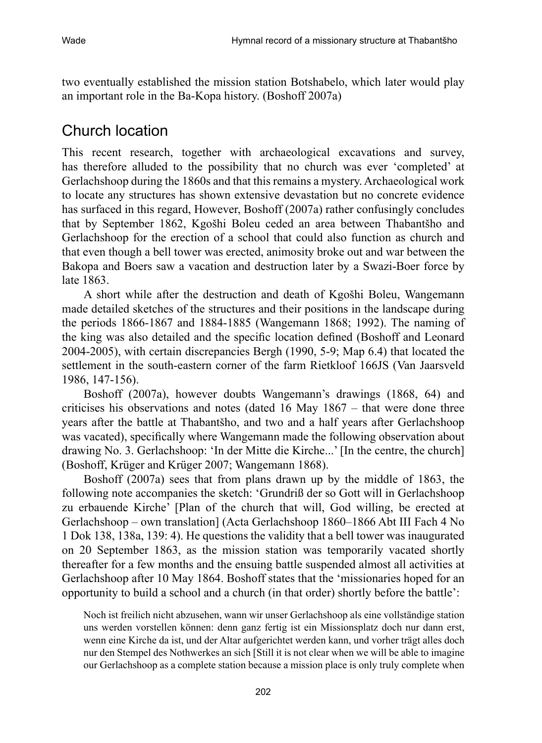two eventually established the mission station Botshabelo, which later would play an important role in the Ba-Kopa history. (Boshoff 2007a)

# Church location

This recent research, together with archaeological excavations and survey, has therefore alluded to the possibility that no church was ever 'completed' at Gerlachshoop during the 1860s and that this remains a mystery. Archaeological work to locate any structures has shown extensive devastation but no concrete evidence has surfaced in this regard, However, Boshoff (2007a) rather confusingly concludes that by September 1862, Kgošhi Boleu ceded an area between Thabantšho and Gerlachshoop for the erection of a school that could also function as church and that even though a bell tower was erected, animosity broke out and war between the Bakopa and Boers saw a vacation and destruction later by a Swazi-Boer force by late 1863.

A short while after the destruction and death of Kgošhi Boleu, Wangemann made detailed sketches of the structures and their positions in the landscape during the periods 1866-1867 and 1884-1885 (Wangemann 1868; 1992). The naming of the king was also detailed and the specific location defined (Boshoff and Leonard 2004-2005), with certain discrepancies Bergh (1990, 5-9; Map 6.4) that located the settlement in the south-eastern corner of the farm Rietkloof 166JS (Van Jaarsveld 1986, 147-156).

Boshoff (2007a), however doubts Wangemann's drawings (1868, 64) and criticises his observations and notes (dated 16 May 1867 – that were done three years after the battle at Thabantšho, and two and a half years after Gerlachshoop was vacated), specifically where Wangemann made the following observation about drawing No. 3. Gerlachshoop: 'In der Mitte die Kirche...' [In the centre, the church] (Boshoff, Krüger and Krüger 2007; Wangemann 1868).

Boshoff (2007a) sees that from plans drawn up by the middle of 1863, the following note accompanies the sketch: 'Grundriß der so Gott will in Gerlachshoop zu erbauende Kirche' [Plan of the church that will, God willing, be erected at Gerlachshoop – own translation] (Acta Gerlachshoop 1860–1866 Abt III Fach 4 No 1 Dok 138, 138a, 139: 4). He questions the validity that a bell tower was inaugurated on 20 September 1863, as the mission station was temporarily vacated shortly thereafter for a few months and the ensuing battle suspended almost all activities at Gerlachshoop after 10 May 1864. Boshoff states that the 'missionaries hoped for an opportunity to build a school and a church (in that order) shortly before the battle':

Noch ist freilich nicht abzusehen, wann wir unser Gerlachshoop als eine vollständige station uns werden vorstellen können: denn ganz fertig ist ein Missionsplatz doch nur dann erst, wenn eine Kirche da ist, und der Altar aufgerichtet werden kann, und vorher trägt alles doch nur den Stempel des Nothwerkes an sich [Still it is not clear when we will be able to imagine our Gerlachshoop as a complete station because a mission place is only truly complete when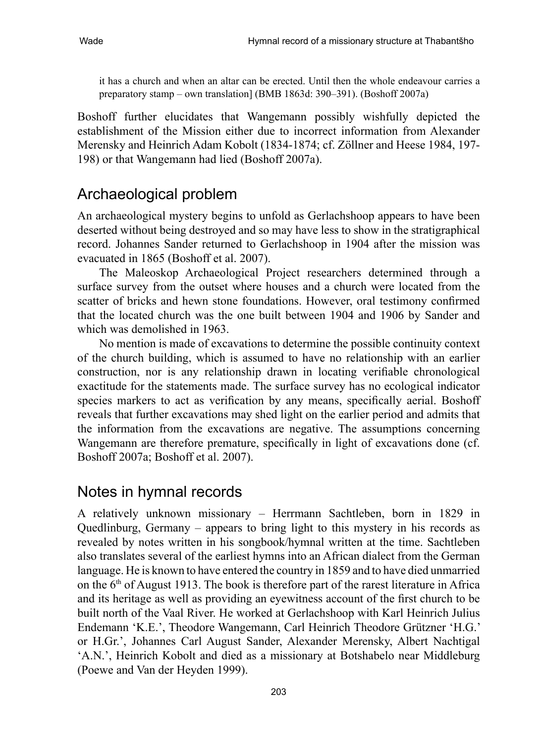it has a church and when an altar can be erected. Until then the whole endeavour carries a preparatory stamp – own translation] (BMB 1863d: 390–391). (Boshoff 2007a)

Boshoff further elucidates that Wangemann possibly wishfully depicted the establishment of the Mission either due to incorrect information from Alexander Merensky and Heinrich Adam Kobolt (1834-1874; cf. Zöllner and Heese 1984, 197- 198) or that Wangemann had lied (Boshoff 2007a).

# Archaeological problem

An archaeological mystery begins to unfold as Gerlachshoop appears to have been deserted without being destroyed and so may have less to show in the stratigraphical record. Johannes Sander returned to Gerlachshoop in 1904 after the mission was evacuated in 1865 (Boshoff et al. 2007).

The Maleoskop Archaeological Project researchers determined through a surface survey from the outset where houses and a church were located from the scatter of bricks and hewn stone foundations. However, oral testimony confirmed that the located church was the one built between 1904 and 1906 by Sander and which was demolished in 1963.

No mention is made of excavations to determine the possible continuity context of the church building, which is assumed to have no relationship with an earlier construction, nor is any relationship drawn in locating verifiable chronological exactitude for the statements made. The surface survey has no ecological indicator species markers to act as verification by any means, specifically aerial. Boshoff reveals that further excavations may shed light on the earlier period and admits that the information from the excavations are negative. The assumptions concerning Wangemann are therefore premature, specifically in light of excavations done (cf. Boshoff 2007a; Boshoff et al. 2007).

## Notes in hymnal records

A relatively unknown missionary – Herrmann Sachtleben, born in 1829 in Quedlinburg, Germany – appears to bring light to this mystery in his records as revealed by notes written in his songbook/hymnal written at the time. Sachtleben also translates several of the earliest hymns into an African dialect from the German language. He is known to have entered the country in 1859 and to have died unmarried on the  $6<sup>th</sup>$  of August 1913. The book is therefore part of the rarest literature in Africa and its heritage as well as providing an eyewitness account of the first church to be built north of the Vaal River. He worked at Gerlachshoop with Karl Heinrich Julius Endemann 'K.E.', Theodore Wangemann, Carl Heinrich Theodore Grützner 'H.G.' or H.Gr.', Johannes Carl August Sander, Alexander Merensky, Albert Nachtigal 'A.N.', Heinrich Kobolt and died as a missionary at Botshabelo near Middleburg (Poewe and Van der Heyden 1999).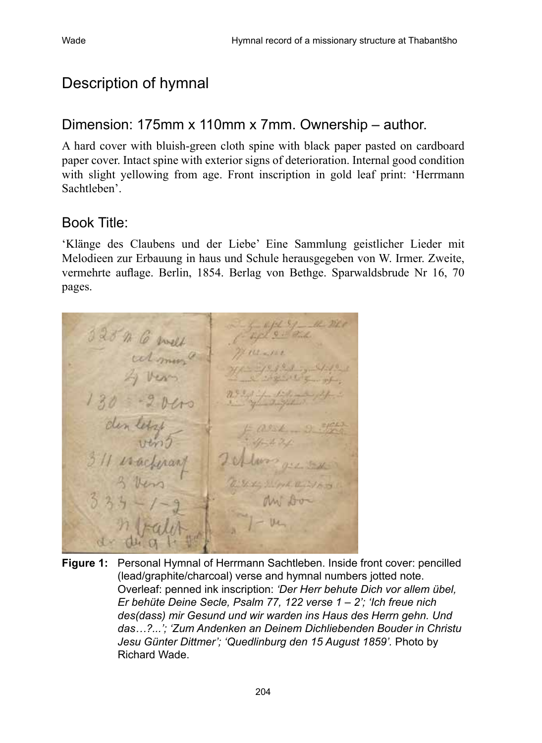### Description of hymnal

#### Dimension: 175mm x 110mm x 7mm. Ownership – author.

A hard cover with bluish-green cloth spine with black paper pasted on cardboard paper cover. Intact spine with exterior signs of deterioration. Internal good condition with slight yellowing from age. Front inscription in gold leaf print: 'Herrmann Sachtleben'.

#### Book Title:

'Klänge des Claubens und der Liebe' Eine Sammlung geistlicher Lieder mit Melodieen zur Erbauung in haus und Schule herausgegeben von W. Irmer. Zweite, vermehrte auflage. Berlin, 1854. Berlag von Bethge. Sparwaldsbrude Nr 16, 70 pages.

328 m 6 met  $9.99 - 1.7$ 

**Figure 1:** Personal Hymnal of Herrmann Sachtleben. Inside front cover: pencilled (lead/graphite/charcoal) verse and hymnal numbers jotted note. Overleaf: penned ink inscription: *'Der Herr behute Dich vor allem übel, Er behüte Deine Secle, Psalm 77, 122 verse 1 – 2'; 'Ich freue nich des(dass) mir Gesund und wir warden ins Haus des Herrn gehn. Und das…?...'; 'Zum Andenken an Deinem Dichliebenden Bouder in Christu Jesu Günter Dittmer'; 'Quedlinburg den 15 August 1859'.* Photo by Richard Wade.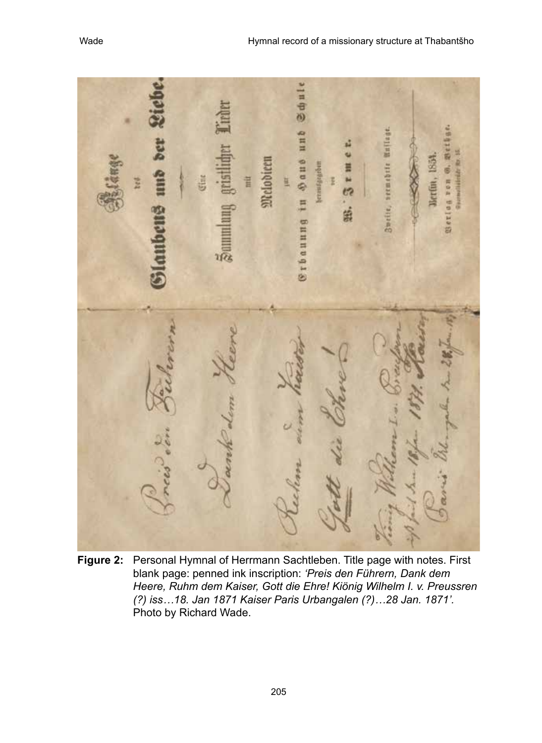**Schule** ипь WHiles DER Saus S3 Melodieer 3weite, seemebrte eraufararber dilli **Gertin.** Ħ Berlan ron Ħ 箘 **Stbauung**  $\frac{1}{20}$ 

**Figure 2:** Personal Hymnal of Herrmann Sachtleben. Title page with notes. First blank page: penned ink inscription: *'Preis den Führern, Dank dem Heere, Ruhm dem Kaiser, Gott die Ehre! Kiönig Wilhelm I. v. Preussren (?) iss…18. Jan 1871 Kaiser Paris Urbangalen (?)…28 Jan. 1871'.*  Photo by Richard Wade.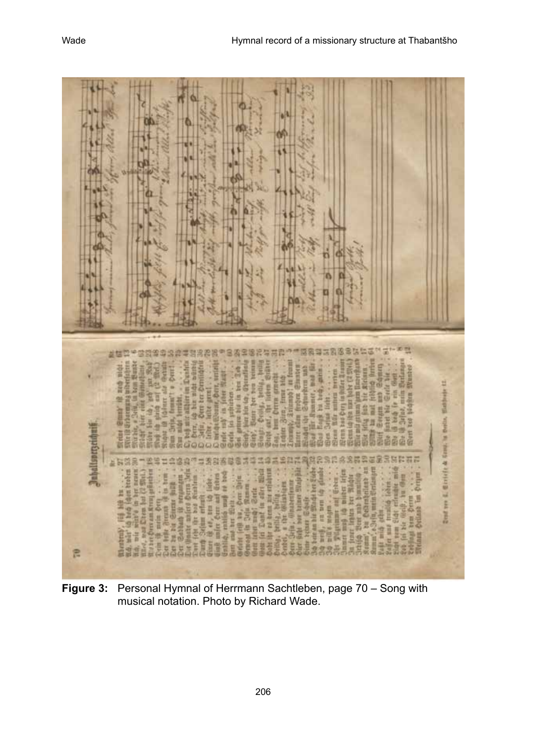ats \*\* \*\*\*\*\*\*\*\*\*\*\*\*\*\*\*\*\*\*\*\*\*\*\*\*\*\* **ERSIBSSHIP** ier im Dunfels **EX Bennist**  $= 54$ Derr, unie als Gath **Summer and** 地名西 **Dentil** lights 23 i 湿点 ŧ **Cerra graeci** tuelerm. E E i ti ŧ ş **TITUE** ELethwis: Ē otes en d e ... B **The State** É Nero ber ä ä e 語信 Ÿ 自信 **All II** Ì Dept ver f. Ctriefe & Court, in Oerla, ij ś Ĥ ditt: 92 etne š B EDED. Inhallspreeting **L**aggage a 置置 'n 闻 ŧ os pr Nico, was Otem bat (2 My Enhan *RESISTENCE* er 34 hei E E **Bit VIT** E milbE H ė Bariz ī E E 2 Ħ bm 岸 Ħ Witin Ě an both J. y 自目 Ħ Preusta ğ Ĥ **MAGAZIN** E **TERM** min E š **HOLD BITT** Ę E **SECONDE** 語書 ä mirr ë **System** libit. È **TEN REGIST** 缍 灣 ä Eā H ī ă Ë **Michel** mont Ë ä Ì ŧ **Window** 清发 ŧ ă ŧ ă 泉 M. ă ö d 巴

**Figure 3:** Personal Hymnal of Herrmann Sachtleben, page 70 – Song with musical notation. Photo by Richard Wade.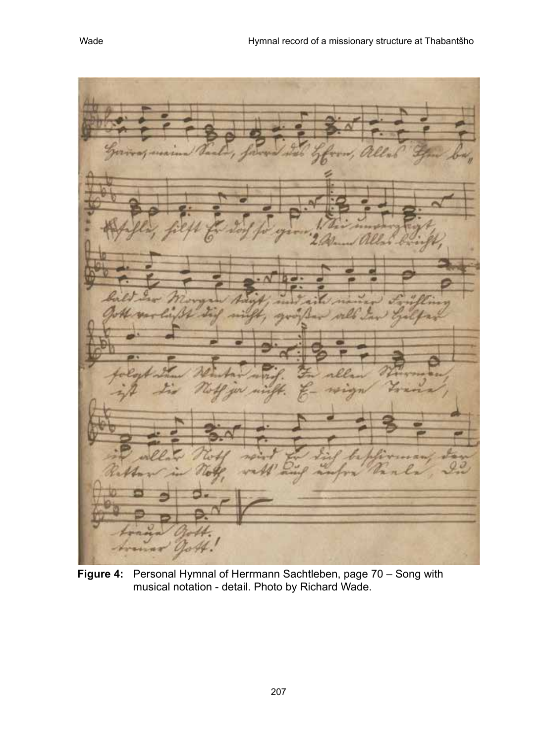**Figure 4:** Personal Hymnal of Herrmann Sachtleben, page 70 – Song with musical notation - detail. Photo by Richard Wade.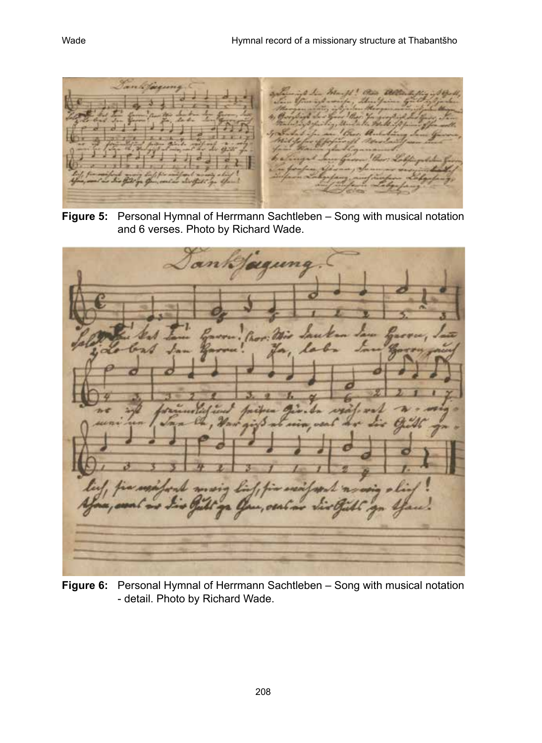

**Figure 5:** Personal Hymnal of Herrmann Sachtleben – Song with musical notation and 6 verses. Photo by Richard Wade.



**Figure 6:** Personal Hymnal of Herrmann Sachtleben – Song with musical notation - detail. Photo by Richard Wade.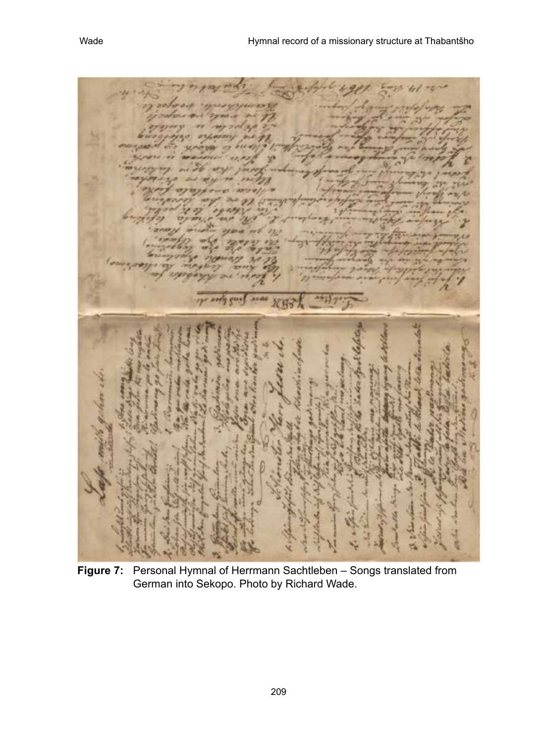**Figure 7:** Personal Hymnal of Herrmann Sachtleben – Songs translated from German into Sekopo. Photo by Richard Wade.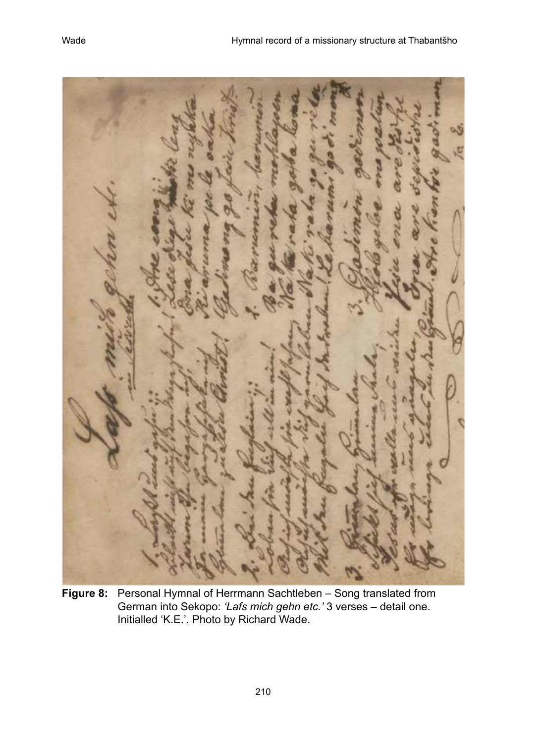**Figure 8:** Personal Hymnal of Herrmann Sachtleben – Song translated from German into Sekopo: *'Lafs mich gehn etc.'* 3 verses – detail one. Initialled 'K.E.'. Photo by Richard Wade.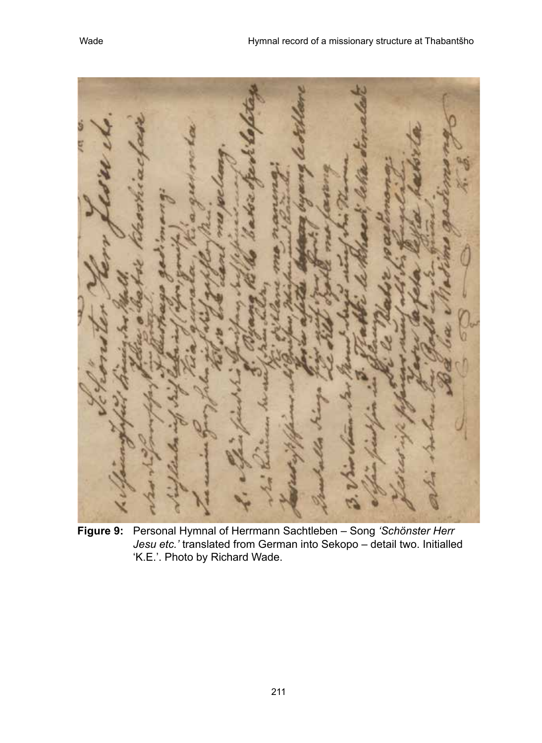**Figure 9:** Personal Hymnal of Herrmann Sachtleben – Song *'Schönster Herr Jesu etc.'* translated from German into Sekopo – detail two. Initialled 'K.E.'. Photo by Richard Wade.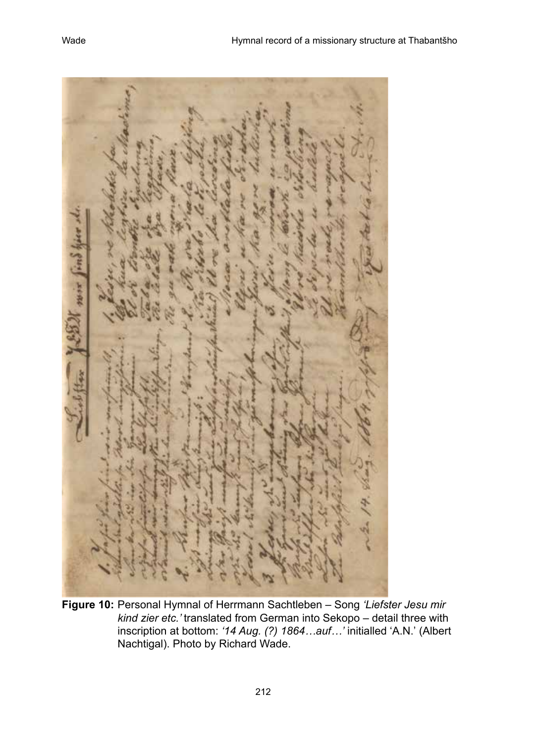If now find

**Figure 10:** Personal Hymnal of Herrmann Sachtleben – Song *'Liefster Jesu mir kind zier etc.'* translated from German into Sekopo – detail three with inscription at bottom: *'14 Aug. (?) 1864…auf…'* initialled 'A.N.' (Albert Nachtigal). Photo by Richard Wade.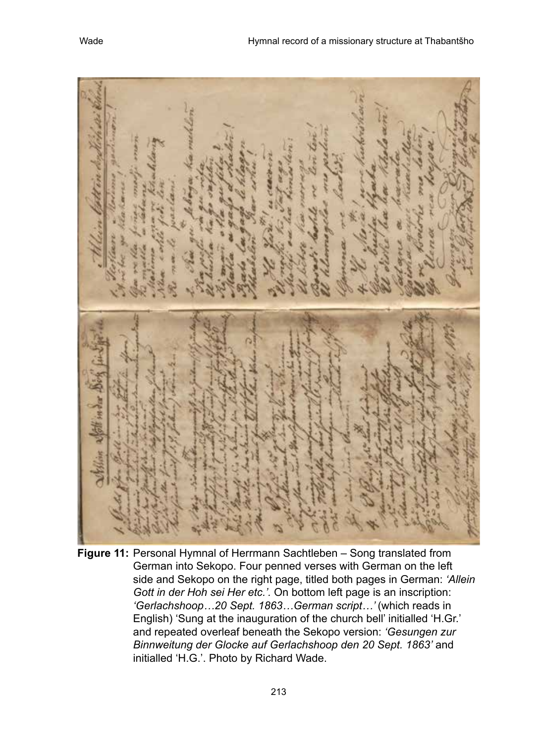**Figure 11:** Personal Hymnal of Herrmann Sachtleben – Song translated from German into Sekopo. Four penned verses with German on the left side and Sekopo on the right page, titled both pages in German: *'Allein Gott in der Hoh sei Her etc.'.* On bottom left page is an inscription: *'Gerlachshoop…20 Sept. 1863…German script…'* (which reads in English) 'Sung at the inauguration of the church bell' initialled 'H.Gr.' and repeated overleaf beneath the Sekopo version: *'Gesungen zur Binnweitung der Glocke auf Gerlachshoop den 20 Sept. 1863'* and initialled 'H.G.'. Photo by Richard Wade.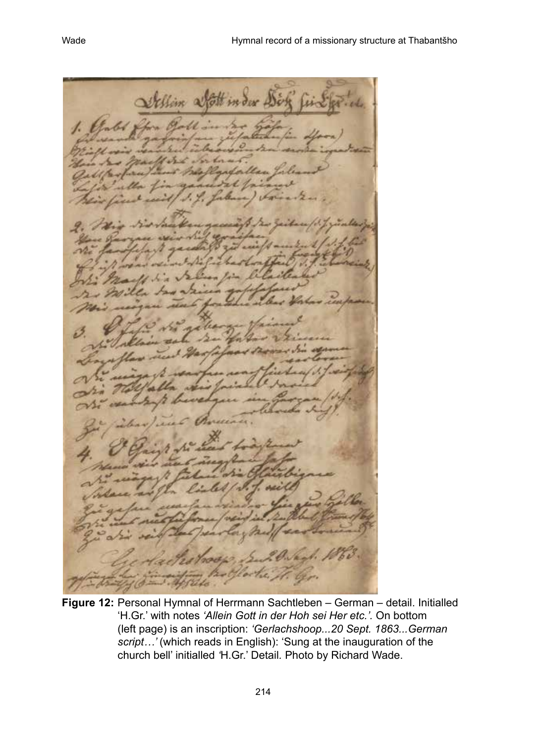Sollin afottim der & Ear.

**Figure 12:** Personal Hymnal of Herrmann Sachtleben – German – detail. Initialled 'H.Gr.' with notes *'Allein Gott in der Hoh sei Her etc.'.* On bottom (left page) is an inscription: *'Gerlachshoop...20 Sept. 1863...German script…'* (which reads in English): 'Sung at the inauguration of the church bell' initialled *'*H.Gr.' Detail*.* Photo by Richard Wade.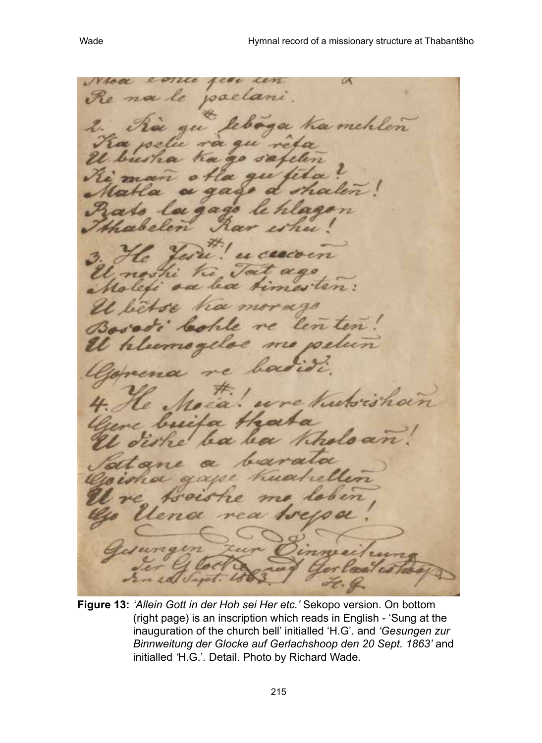$\alpha$ Noa  $010$ a mehr len le

**Figure 13:** *'Allein Gott in der Hoh sei Her etc.'* Sekopo version. On bottom (right page) is an inscription which reads in English - 'Sung at the inauguration of the church bell' initialled 'H.G'. and *'Gesungen zur Binnweitung der Glocke auf Gerlachshoop den 20 Sept. 1863'* and initialled *'*H.G.'*.* Detail. Photo by Richard Wade.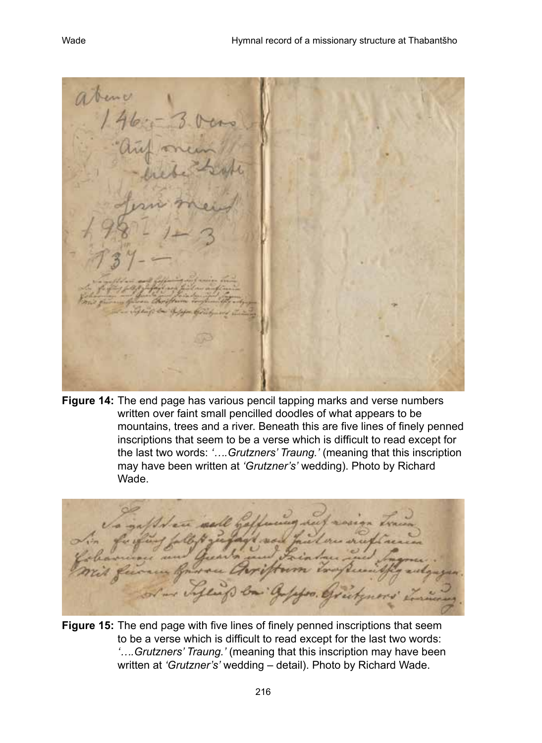**Figure 14:** The end page has various pencil tapping marks and verse numbers written over faint small pencilled doodles of what appears to be mountains, trees and a river. Beneath this are five lines of finely penned inscriptions that seem to be a verse which is difficult to read except for the last two words: *'….Grutzners' Traung.'* (meaning that this inscription may have been written at *'Grutzner's'* wedding). Photo by Richard Wade.

**Figure 15:** The end page with five lines of finely penned inscriptions that seem to be a verse which is difficult to read except for the last two words: *'….Grutzners' Traung.'* (meaning that this inscription may have been written at *'Grutzner's'* wedding – detail). Photo by Richard Wade.

216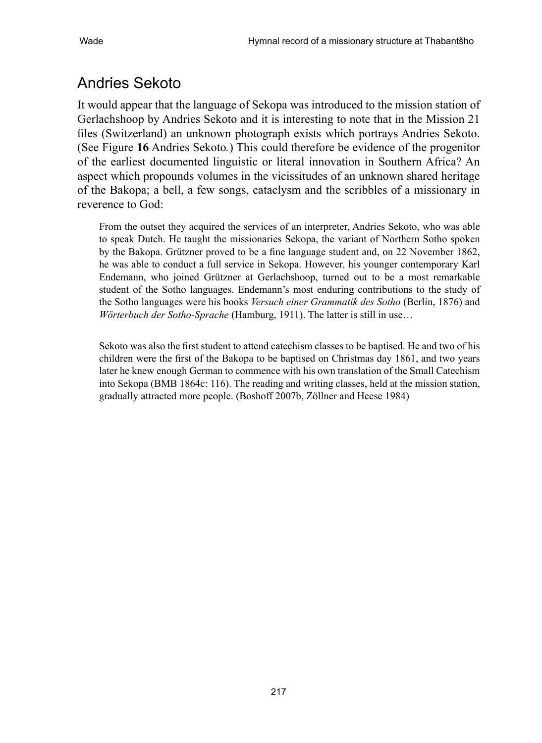# Andries Sekoto

It would appear that the language of Sekopa was introduced to the mission station of Gerlachshoop by Andries Sekoto and it is interesting to note that in the Mission 21 files (Switzerland) an unknown photograph exists which portrays Andries Sekoto. (See Figure **16** Andries Sekoto*.*) This could therefore be evidence of the progenitor of the earliest documented linguistic or literal innovation in Southern Africa? An aspect which propounds volumes in the vicissitudes of an unknown shared heritage of the Bakopa; a bell, a few songs, cataclysm and the scribbles of a missionary in reverence to God:

From the outset they acquired the services of an interpreter, Andries Sekoto, who was able to speak Dutch. He taught the missionaries Sekopa, the variant of Northern Sotho spoken by the Bakopa. Grützner proved to be a fine language student and, on 22 November 1862, he was able to conduct a full service in Sekopa. However, his younger contemporary Karl Endemann, who joined Grützner at Gerlachshoop, turned out to be a most remarkable student of the Sotho languages. Endemann's most enduring contributions to the study of the Sotho languages were his books *Versuch einer Grammatik des Sotho* (Berlin, 1876) and *Wörterbuch der Sotho-Sprache* (Hamburg, 1911). The latter is still in use…

Sekoto was also the first student to attend catechism classes to be baptised. He and two of his children were the first of the Bakopa to be baptised on Christmas day 1861, and two years later he knew enough German to commence with his own translation of the Small Catechism into Sekopa (BMB 1864c: 116). The reading and writing classes, held at the mission station, gradually attracted more people. (Boshoff 2007b, Zöllner and Heese 1984)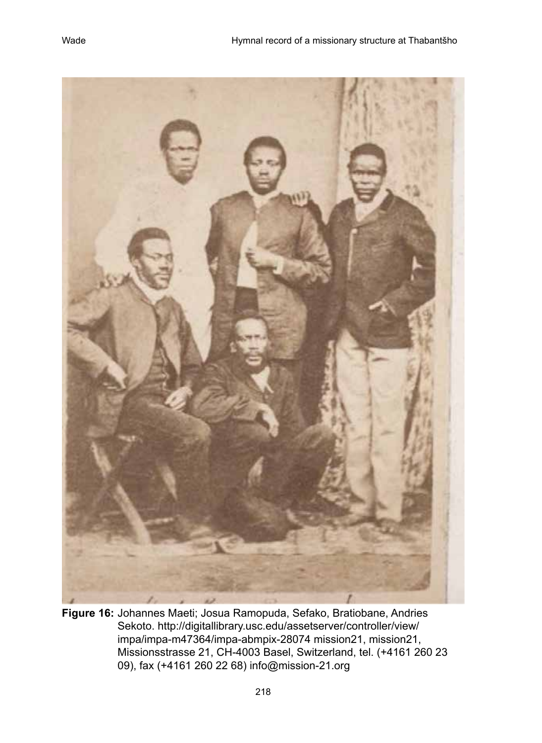



**Figure 16:** Johannes Maeti; Josua Ramopuda, Sefako, Bratiobane, Andries Sekoto. http://digitallibrary.usc.edu/assetserver/controller/view/ impa/impa-m47364/impa-abmpix-28074 mission21, mission21, Missionsstrasse 21, CH-4003 Basel, Switzerland, tel. (+4161 260 23 09), fax (+4161 260 22 68) info@mission-21.org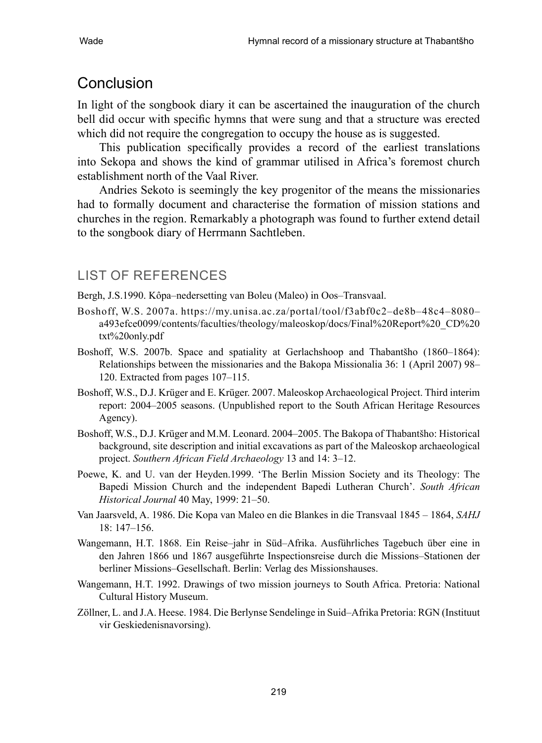### Conclusion

In light of the songbook diary it can be ascertained the inauguration of the church bell did occur with specific hymns that were sung and that a structure was erected which did not require the congregation to occupy the house as is suggested.

This publication specifically provides a record of the earliest translations into Sekopa and shows the kind of grammar utilised in Africa's foremost church establishment north of the Vaal River.

Andries Sekoto is seemingly the key progenitor of the means the missionaries had to formally document and characterise the formation of mission stations and churches in the region. Remarkably a photograph was found to further extend detail to the songbook diary of Herrmann Sachtleben.

#### LIST OF References

Bergh, J.S.1990. Kôpa–nedersetting van Boleu (Maleo) in Oos–Transvaal.

- Boshoff, W.S. 2007a. https://my.unisa.ac.za/portal/tool/f3abf0c2–de8b–48c4–8080– a493efce0099/contents/faculties/theology/maleoskop/docs/Final%20Report%20\_CD%20 txt%20only.pdf
- Boshoff, W.S. 2007b. Space and spatiality at Gerlachshoop and Thabantšho (1860–1864): Relationships between the missionaries and the Bakopa Missionalia 36: 1 (April 2007) 98– 120. Extracted from pages 107–115.
- Boshoff, W.S., D.J. Krüger and E. Krüger. 2007. Maleoskop Archaeological Project. Third interim report: 2004–2005 seasons. (Unpublished report to the South African Heritage Resources Agency).
- Boshoff, W.S., D.J. Krüger and M.M. Leonard. 2004–2005. The Bakopa of Thabantšho: Historical background, site description and initial excavations as part of the Maleoskop archaeological project. *Southern African Field Archaeology* 13 and 14: 3–12.
- Poewe, K. and U. van der Heyden.1999. 'The Berlin Mission Society and its Theology: The Bapedi Mission Church and the independent Bapedi Lutheran Church'. *South African Historical Journal* 40 May, 1999: 21–50.
- Van Jaarsveld, A. 1986. Die Kopa van Maleo en die Blankes in die Transvaal 1845 1864, *SAHJ* 18: 147–156.
- Wangemann, H.T. 1868. Ein Reise–jahr in Süd–Afrika. Ausführliches Tagebuch über eine in den Jahren 1866 und 1867 ausgeführte Inspectionsreise durch die Missions–Stationen der berliner Missions–Gesellschaft. Berlin: Verlag des Missionshauses.
- Wangemann, H.T. 1992. Drawings of two mission journeys to South Africa. Pretoria: National Cultural History Museum.
- Zöllner, L. and J.A. Heese. 1984. Die Berlynse Sendelinge in Suid–Afrika Pretoria: RGN (Instituut vir Geskiedenisnavorsing).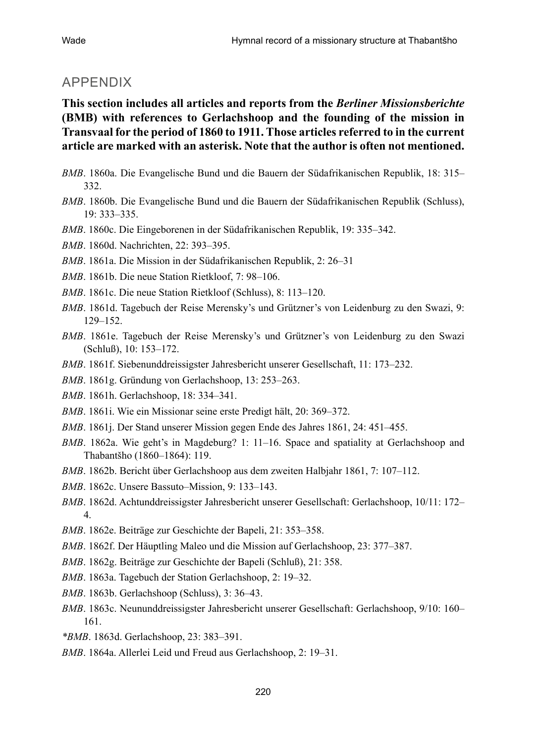#### APPENDIX

**This section includes all articles and reports from the** *Berliner Missionsberichte* **(BMB) with references to Gerlachshoop and the founding of the mission in Transvaal for the period of 1860 to 1911. Those articles referred to in the current article are marked with an asterisk. Note that the author is often not mentioned.**

- *BMB*. 1860a. Die Evangelische Bund und die Bauern der Südafrikanischen Republik, 18: 315– 332.
- *BMB*. 1860b. Die Evangelische Bund und die Bauern der Südafrikanischen Republik (Schluss), 19: 333–335.
- *BMB*. 1860c. Die Eingeborenen in der Südafrikanischen Republik, 19: 335–342.
- *BMB*. 1860d. Nachrichten, 22: 393–395.
- *BMB*. 1861a. Die Mission in der Südafrikanischen Republik, 2: 26–31
- *BMB*. 1861b. Die neue Station Rietkloof, 7: 98–106.
- *BMB*. 1861c. Die neue Station Rietkloof (Schluss), 8: 113–120.
- *BMB*. 1861d. Tagebuch der Reise Merensky's und Grützner's von Leidenburg zu den Swazi, 9: 129–152.
- *BMB*. 1861e. Tagebuch der Reise Merensky's und Grützner's von Leidenburg zu den Swazi (Schluß), 10: 153–172.
- *BMB*. 1861f. Siebenunddreissigster Jahresbericht unserer Gesellschaft, 11: 173–232.
- *BMB*. 1861g. Gründung von Gerlachshoop, 13: 253–263.
- *BMB*. 1861h. Gerlachshoop, 18: 334–341.
- *BMB*. 1861i. Wie ein Missionar seine erste Predigt hält, 20: 369–372.
- *BMB*. 1861j. Der Stand unserer Mission gegen Ende des Jahres 1861, 24: 451–455.
- *BMB*. 1862a. Wie geht's in Magdeburg? 1: 11–16. Space and spatiality at Gerlachshoop and Thabantšho (1860–1864): 119.
- *BMB*. 1862b. Bericht über Gerlachshoop aus dem zweiten Halbjahr 1861, 7: 107–112.
- *BMB*. 1862c. Unsere Bassuto–Mission, 9: 133–143.
- *BMB*. 1862d. Achtunddreissigster Jahresbericht unserer Gesellschaft: Gerlachshoop, 10/11: 172– 4.
- *BMB*. 1862e. Beiträge zur Geschichte der Bapeli, 21: 353–358.
- *BMB*. 1862f. Der Häuptling Maleo und die Mission auf Gerlachshoop, 23: 377–387.
- *BMB*. 1862g. Beiträge zur Geschichte der Bapeli (Schluß), 21: 358.
- *BMB*. 1863a. Tagebuch der Station Gerlachshoop, 2: 19–32.
- *BMB*. 1863b. Gerlachshoop (Schluss), 3: 36–43.
- *BMB*. 1863c. Neununddreissigster Jahresbericht unserer Gesellschaft: Gerlachshoop, 9/10: 160– 161.
- *\*BMB*. 1863d. Gerlachshoop, 23: 383–391.
- *BMB*. 1864a. Allerlei Leid und Freud aus Gerlachshoop, 2: 19–31.